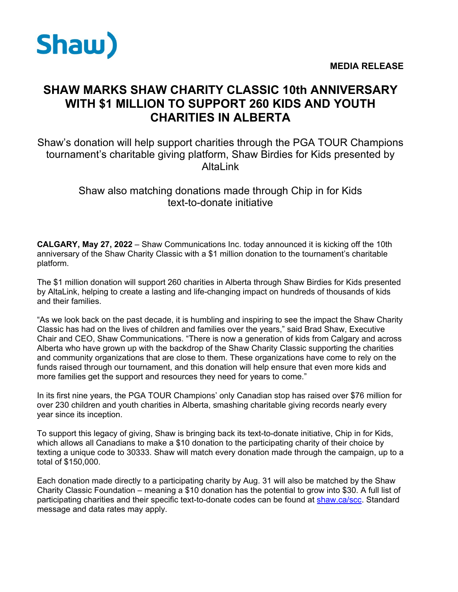

## **SHAW MARKS SHAW CHARITY CLASSIC 10th ANNIVERSARY WITH \$1 MILLION TO SUPPORT 260 KIDS AND YOUTH CHARITIES IN ALBERTA**

Shaw's donation will help support charities through the PGA TOUR Champions tournament's charitable giving platform, Shaw Birdies for Kids presented by AltaLink

## Shaw also matching donations made through Chip in for Kids text-to-donate initiative

**CALGARY, May 27, 2022** – Shaw Communications Inc. today announced it is kicking off the 10th anniversary of the Shaw Charity Classic with a \$1 million donation to the tournament's charitable platform.

The \$1 million donation will support 260 charities in Alberta through Shaw Birdies for Kids presented by AltaLink, helping to create a lasting and life-changing impact on hundreds of thousands of kids and their families.

"As we look back on the past decade, it is humbling and inspiring to see the impact the Shaw Charity Classic has had on the lives of children and families over the years," said Brad Shaw, Executive Chair and CEO, Shaw Communications. "There is now a generation of kids from Calgary and across Alberta who have grown up with the backdrop of the Shaw Charity Classic supporting the charities and community organizations that are close to them. These organizations have come to rely on the funds raised through our tournament, and this donation will help ensure that even more kids and more families get the support and resources they need for years to come."

In its first nine years, the PGA TOUR Champions' only Canadian stop has raised over \$76 million for over 230 children and youth charities in Alberta, smashing charitable giving records nearly every year since its inception.

To support this legacy of giving, Shaw is bringing back its text-to-donate initiative, Chip in for Kids, which allows all Canadians to make a \$10 donation to the participating charity of their choice by texting a unique code to 30333. Shaw will match every donation made through the campaign, up to a total of \$150,000.

Each donation made directly to a participating charity by Aug. 31 will also be matched by the Shaw Charity Classic Foundation – meaning a \$10 donation has the potential to grow into \$30. A full list of participating charities and their specific text-to-donate codes can be found at [shaw.ca/scc.](https://shaw.ca/scc) Standard message and data rates may apply.